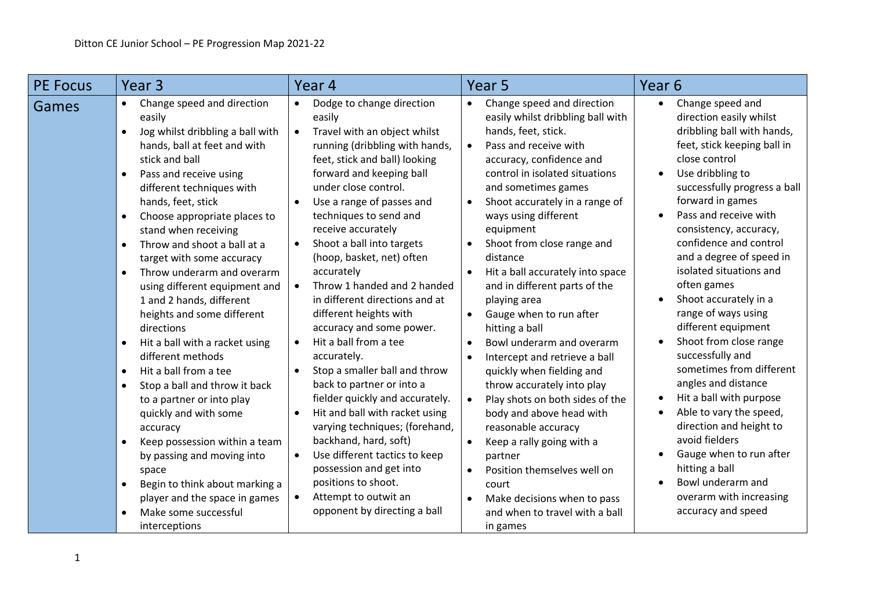| <b>PE Focus</b> | Year <sub>3</sub>                                                                                                     | Year 4                                                                                                                          | Year <sub>5</sub>                                                                                                                         | Year <sub>6</sub>                                                                                        |
|-----------------|-----------------------------------------------------------------------------------------------------------------------|---------------------------------------------------------------------------------------------------------------------------------|-------------------------------------------------------------------------------------------------------------------------------------------|----------------------------------------------------------------------------------------------------------|
| Games           | Change speed and direction<br>easily<br>Jog whilst dribbling a ball with<br>$\bullet$<br>hands, ball at feet and with | Dodge to change direction<br>$\bullet$<br>easily<br>Travel with an object whilst<br>$\bullet$<br>running (dribbling with hands, | Change speed and direction<br>$\bullet$<br>easily whilst dribbling ball with<br>hands, feet, stick.<br>Pass and receive with<br>$\bullet$ | Change speed and<br>direction easily whilst<br>dribbling ball with hands,<br>feet, stick keeping ball in |
|                 | stick and ball<br>Pass and receive using<br>$\bullet$<br>different techniques with                                    | feet, stick and ball) looking<br>forward and keeping ball<br>under close control.                                               | accuracy, confidence and<br>control in isolated situations<br>and sometimes games                                                         | close control<br>Use dribbling to<br>successfully progress a ball                                        |
|                 | hands, feet, stick                                                                                                    | Use a range of passes and                                                                                                       | Shoot accurately in a range of<br>$\bullet$                                                                                               | forward in games<br>Pass and receive with                                                                |
|                 | Choose appropriate places to<br>$\bullet$<br>stand when receiving<br>Throw and shoot a ball at a                      | techniques to send and<br>receive accurately<br>Shoot a ball into targets<br>$\bullet$                                          | ways using different<br>equipment<br>Shoot from close range and                                                                           | consistency, accuracy,<br>confidence and control                                                         |
|                 | $\bullet$<br>target with some accuracy<br>Throw underarm and overarm                                                  | (hoop, basket, net) often<br>accurately                                                                                         | $\bullet$<br>distance<br>Hit a ball accurately into space<br>$\bullet$                                                                    | and a degree of speed in<br>isolated situations and                                                      |
|                 | $\bullet$<br>using different equipment and<br>1 and 2 hands, different                                                | Throw 1 handed and 2 handed<br>in different directions and at                                                                   | and in different parts of the<br>playing area                                                                                             | often games<br>Shoot accurately in a                                                                     |
|                 | heights and some different<br>directions                                                                              | different heights with<br>accuracy and some power.                                                                              | Gauge when to run after<br>$\bullet$<br>hitting a ball                                                                                    | range of ways using<br>different equipment                                                               |
|                 | Hit a ball with a racket using<br>$\bullet$<br>different methods                                                      | Hit a ball from a tee<br>$\bullet$<br>accurately.                                                                               | Bowl underarm and overarm<br>$\bullet$<br>Intercept and retrieve a ball<br>$\bullet$                                                      | Shoot from close range<br>successfully and                                                               |
|                 | Hit a ball from a tee<br>$\bullet$<br>Stop a ball and throw it back<br>$\bullet$                                      | Stop a smaller ball and throw<br>$\bullet$<br>back to partner or into a                                                         | quickly when fielding and<br>throw accurately into play                                                                                   | sometimes from different<br>angles and distance                                                          |
|                 | to a partner or into play<br>quickly and with some<br>accuracy                                                        | fielder quickly and accurately.<br>Hit and ball with racket using<br>$\bullet$<br>varying techniques; (forehand,                | Play shots on both sides of the<br>$\bullet$<br>body and above head with<br>reasonable accuracy                                           | Hit a ball with purpose<br>Able to vary the speed,<br>direction and height to                            |
|                 | Keep possession within a team<br>by passing and moving into                                                           | backhand, hard, soft)<br>Use different tactics to keep<br>$\bullet$                                                             | Keep a rally going with a<br>partner                                                                                                      | avoid fielders<br>Gauge when to run after                                                                |
|                 | space<br>Begin to think about marking a<br>$\bullet$                                                                  | possession and get into<br>positions to shoot.                                                                                  | Position themselves well on<br>$\bullet$<br>court                                                                                         | hitting a ball<br>Bowl underarm and                                                                      |
|                 | player and the space in games<br>Make some successful<br>$\bullet$<br>interceptions                                   | Attempt to outwit an<br>$\bullet$<br>opponent by directing a ball                                                               | Make decisions when to pass<br>$\bullet$<br>and when to travel with a ball<br>in games                                                    | overarm with increasing<br>accuracy and speed                                                            |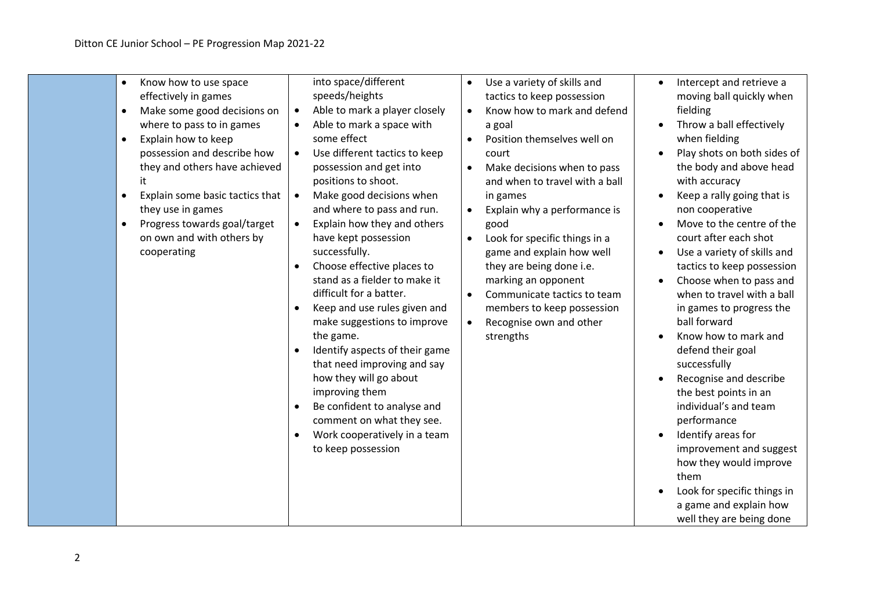| Know how to use space<br>$\bullet$<br>effectively in games<br>Make some good decisions on<br>$\bullet$<br>where to pass to in games<br>Explain how to keep<br>$\bullet$<br>possession and describe how<br>they and others have achieved<br>it<br>Explain some basic tactics that<br>$\bullet$<br>they use in games<br>Progress towards goal/target<br>$\bullet$<br>on own and with others by<br>cooperating | into space/different<br>speeds/heights<br>Able to mark a player closely<br>$\bullet$<br>Able to mark a space with<br>some effect<br>Use different tactics to keep<br>$\bullet$<br>possession and get into<br>positions to shoot.<br>Make good decisions when<br>$\bullet$<br>and where to pass and run.<br>Explain how they and others<br>$\bullet$<br>have kept possession<br>successfully.<br>Choose effective places to<br>stand as a fielder to make it<br>difficult for a batter.<br>Keep and use rules given and<br>make suggestions to improve<br>the game.<br>Identify aspects of their game<br>that need improving and say<br>how they will go about<br>improving them<br>Be confident to analyse and<br>comment on what they see.<br>Work cooperatively in a team<br>to keep possession | Use a variety of skills and<br>$\bullet$<br>tactics to keep possession<br>Know how to mark and defend<br>$\bullet$<br>a goal<br>Position themselves well on<br>$\bullet$<br>court<br>Make decisions when to pass<br>$\bullet$<br>and when to travel with a ball<br>in games<br>Explain why a performance is<br>$\bullet$<br>good<br>Look for specific things in a<br>$\bullet$<br>game and explain how well<br>they are being done i.e.<br>marking an opponent<br>Communicate tactics to team<br>$\bullet$<br>members to keep possession<br>Recognise own and other<br>$\bullet$<br>strengths | Intercept and retrieve a<br>$\bullet$<br>moving ball quickly when<br>fielding<br>Throw a ball effectively<br>when fielding<br>Play shots on both sides of<br>the body and above head<br>with accuracy<br>Keep a rally going that is<br>non cooperative<br>Move to the centre of the<br>court after each shot<br>Use a variety of skills and<br>tactics to keep possession<br>Choose when to pass and<br>when to travel with a ball<br>in games to progress the<br>ball forward<br>Know how to mark and<br>defend their goal<br>successfully<br>Recognise and describe<br>the best points in an<br>individual's and team<br>performance<br>Identify areas for<br>improvement and suggest<br>how they would improve<br>them<br>Look for specific things in<br>a game and explain how<br>well they are being done |
|-------------------------------------------------------------------------------------------------------------------------------------------------------------------------------------------------------------------------------------------------------------------------------------------------------------------------------------------------------------------------------------------------------------|---------------------------------------------------------------------------------------------------------------------------------------------------------------------------------------------------------------------------------------------------------------------------------------------------------------------------------------------------------------------------------------------------------------------------------------------------------------------------------------------------------------------------------------------------------------------------------------------------------------------------------------------------------------------------------------------------------------------------------------------------------------------------------------------------|-----------------------------------------------------------------------------------------------------------------------------------------------------------------------------------------------------------------------------------------------------------------------------------------------------------------------------------------------------------------------------------------------------------------------------------------------------------------------------------------------------------------------------------------------------------------------------------------------|----------------------------------------------------------------------------------------------------------------------------------------------------------------------------------------------------------------------------------------------------------------------------------------------------------------------------------------------------------------------------------------------------------------------------------------------------------------------------------------------------------------------------------------------------------------------------------------------------------------------------------------------------------------------------------------------------------------------------------------------------------------------------------------------------------------|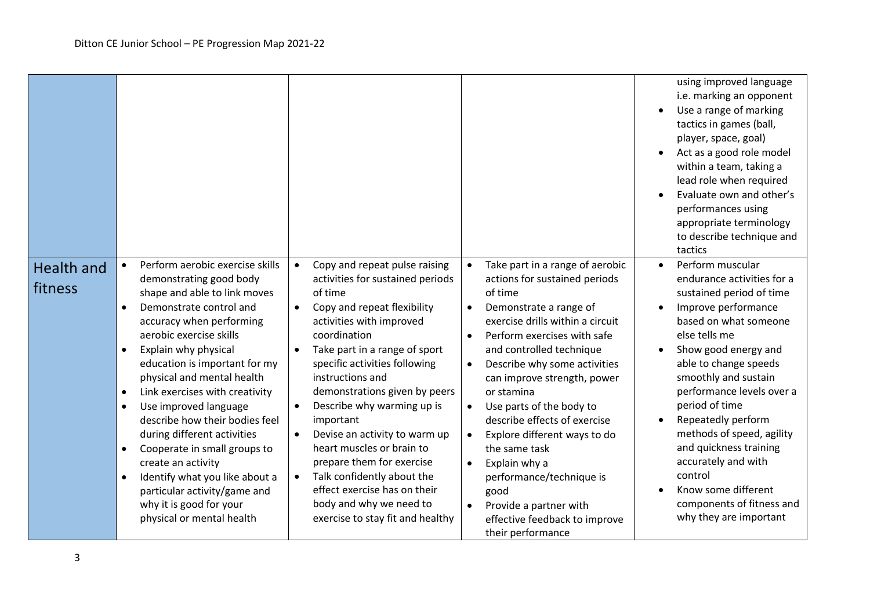|                              |                                                                                                                                                                                                                                                                                                                                                                                                                                                                                                                                                                                                                                                               |                                                                                                                                                                                                                                                                                                                                                                                                                                                                                                                                                                                                       |                                                                                                                                                                                                                                                                                                                                                                                                                                                                                                                                                                                                                                             | using improved language<br>i.e. marking an opponent<br>Use a range of marking<br>tactics in games (ball,<br>player, space, goal)<br>Act as a good role model<br>within a team, taking a<br>lead role when required<br>Evaluate own and other's<br>performances using<br>appropriate terminology<br>to describe technique and<br>tactics                                                                                                                          |
|------------------------------|---------------------------------------------------------------------------------------------------------------------------------------------------------------------------------------------------------------------------------------------------------------------------------------------------------------------------------------------------------------------------------------------------------------------------------------------------------------------------------------------------------------------------------------------------------------------------------------------------------------------------------------------------------------|-------------------------------------------------------------------------------------------------------------------------------------------------------------------------------------------------------------------------------------------------------------------------------------------------------------------------------------------------------------------------------------------------------------------------------------------------------------------------------------------------------------------------------------------------------------------------------------------------------|---------------------------------------------------------------------------------------------------------------------------------------------------------------------------------------------------------------------------------------------------------------------------------------------------------------------------------------------------------------------------------------------------------------------------------------------------------------------------------------------------------------------------------------------------------------------------------------------------------------------------------------------|------------------------------------------------------------------------------------------------------------------------------------------------------------------------------------------------------------------------------------------------------------------------------------------------------------------------------------------------------------------------------------------------------------------------------------------------------------------|
| <b>Health and</b><br>fitness | Perform aerobic exercise skills<br>$\bullet$<br>demonstrating good body<br>shape and able to link moves<br>Demonstrate control and<br>$\bullet$<br>accuracy when performing<br>aerobic exercise skills<br>Explain why physical<br>$\bullet$<br>education is important for my<br>physical and mental health<br>Link exercises with creativity<br>$\bullet$<br>Use improved language<br>$\bullet$<br>describe how their bodies feel<br>during different activities<br>Cooperate in small groups to<br>create an activity<br>Identify what you like about a<br>$\bullet$<br>particular activity/game and<br>why it is good for your<br>physical or mental health | Copy and repeat pulse raising<br>activities for sustained periods<br>of time<br>Copy and repeat flexibility<br>activities with improved<br>coordination<br>Take part in a range of sport<br>$\bullet$<br>specific activities following<br>instructions and<br>demonstrations given by peers<br>Describe why warming up is<br>$\bullet$<br>important<br>Devise an activity to warm up<br>$\bullet$<br>heart muscles or brain to<br>prepare them for exercise<br>Talk confidently about the<br>$\bullet$<br>effect exercise has on their<br>body and why we need to<br>exercise to stay fit and healthy | Take part in a range of aerobic<br>$\bullet$<br>actions for sustained periods<br>of time<br>Demonstrate a range of<br>$\bullet$<br>exercise drills within a circuit<br>Perform exercises with safe<br>$\bullet$<br>and controlled technique<br>Describe why some activities<br>$\bullet$<br>can improve strength, power<br>or stamina<br>Use parts of the body to<br>$\bullet$<br>describe effects of exercise<br>Explore different ways to do<br>$\bullet$<br>the same task<br>Explain why a<br>$\bullet$<br>performance/technique is<br>good<br>Provide a partner with<br>$\bullet$<br>effective feedback to improve<br>their performance | Perform muscular<br>endurance activities for a<br>sustained period of time<br>Improve performance<br>based on what someone<br>else tells me<br>Show good energy and<br>able to change speeds<br>smoothly and sustain<br>performance levels over a<br>period of time<br>Repeatedly perform<br>methods of speed, agility<br>and quickness training<br>accurately and with<br>control<br>Know some different<br>components of fitness and<br>why they are important |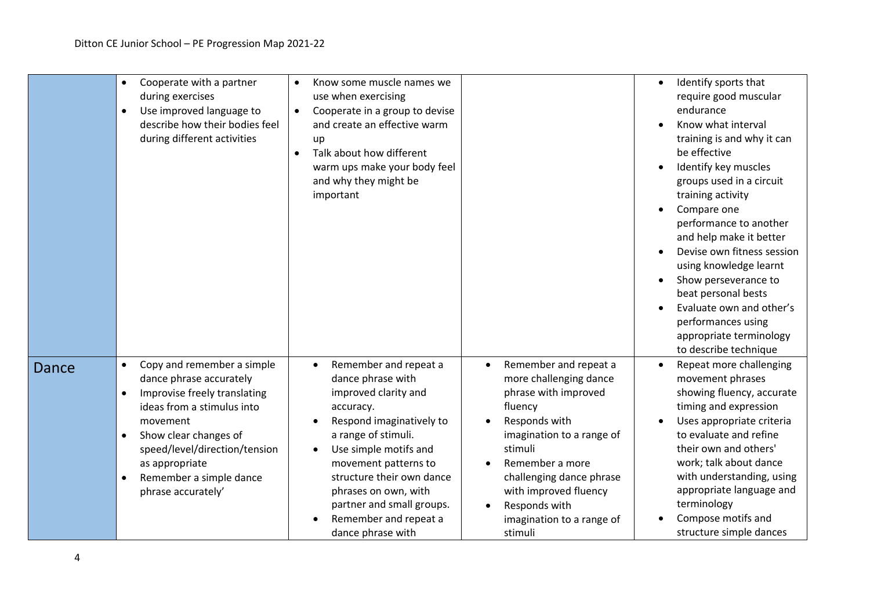|       | Cooperate with a partner<br>$\bullet$<br>during exercises<br>Use improved language to<br>$\bullet$<br>describe how their bodies feel<br>during different activities                                                                                                                                 | Know some muscle names we<br>use when exercising<br>Cooperate in a group to devise<br>$\bullet$<br>and create an effective warm<br>up<br>Talk about how different<br>warm ups make your body feel<br>and why they might be<br>important                                                                                                                                                                                                                                                                                                                                                                                                    | Identify sports that<br>$\bullet$<br>require good muscular<br>endurance<br>Know what interval<br>training is and why it can<br>be effective<br>Identify key muscles<br>groups used in a circuit<br>training activity<br>Compare one<br>performance to another<br>and help make it better<br>Devise own fitness session<br>using knowledge learnt<br>Show perseverance to<br>beat personal bests<br>Evaluate own and other's<br>performances using<br>appropriate terminology<br>to describe technique |
|-------|-----------------------------------------------------------------------------------------------------------------------------------------------------------------------------------------------------------------------------------------------------------------------------------------------------|--------------------------------------------------------------------------------------------------------------------------------------------------------------------------------------------------------------------------------------------------------------------------------------------------------------------------------------------------------------------------------------------------------------------------------------------------------------------------------------------------------------------------------------------------------------------------------------------------------------------------------------------|-------------------------------------------------------------------------------------------------------------------------------------------------------------------------------------------------------------------------------------------------------------------------------------------------------------------------------------------------------------------------------------------------------------------------------------------------------------------------------------------------------|
| Dance | Copy and remember a simple<br>$\bullet$<br>dance phrase accurately<br>Improvise freely translating<br>$\bullet$<br>ideas from a stimulus into<br>movement<br>Show clear changes of<br>$\bullet$<br>speed/level/direction/tension<br>as appropriate<br>Remember a simple dance<br>phrase accurately' | Remember and repeat a<br>Remember and repeat a<br>$\bullet$<br>dance phrase with<br>more challenging dance<br>improved clarity and<br>phrase with improved<br>fluency<br>accuracy.<br>Responds with<br>Respond imaginatively to<br>a range of stimuli.<br>imagination to a range of<br>Use simple motifs and<br>stimuli<br>$\bullet$<br>Remember a more<br>movement patterns to<br>structure their own dance<br>challenging dance phrase<br>with improved fluency<br>phrases on own, with<br>partner and small groups.<br>Responds with<br>$\bullet$<br>Remember and repeat a<br>imagination to a range of<br>dance phrase with<br>stimuli | Repeat more challenging<br>movement phrases<br>showing fluency, accurate<br>timing and expression<br>Uses appropriate criteria<br>to evaluate and refine<br>their own and others'<br>work; talk about dance<br>with understanding, using<br>appropriate language and<br>terminology<br>Compose motifs and<br>structure simple dances                                                                                                                                                                  |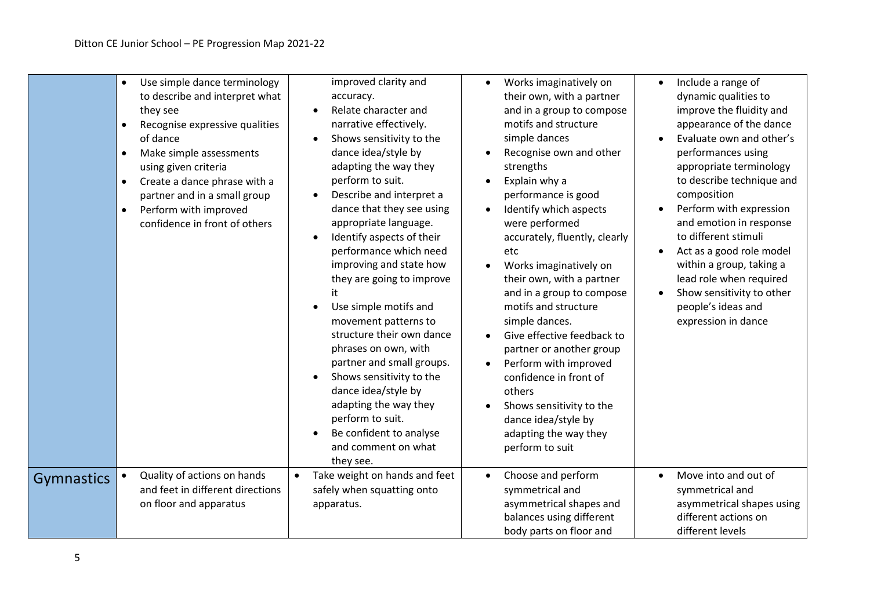|                   | Use simple dance terminology<br>$\bullet$<br>to describe and interpret what<br>they see<br>Recognise expressive qualities<br>$\bullet$<br>of dance<br>Make simple assessments<br>$\bullet$<br>using given criteria<br>Create a dance phrase with a<br>$\bullet$<br>partner and in a small group<br>Perform with improved<br>$\bullet$<br>confidence in front of others | improved clarity and<br>accuracy.<br>Relate character and<br>narrative effectively.<br>Shows sensitivity to the<br>dance idea/style by<br>adapting the way they<br>perform to suit.<br>Describe and interpret a<br>dance that they see using<br>appropriate language.<br>Identify aspects of their<br>performance which need<br>improving and state how<br>they are going to improve<br>it<br>Use simple motifs and<br>movement patterns to<br>structure their own dance<br>phrases on own, with<br>partner and small groups.<br>Shows sensitivity to the<br>dance idea/style by<br>adapting the way they<br>perform to suit.<br>Be confident to analyse<br>and comment on what<br>they see. | Works imaginatively on<br>their own, with a partner<br>and in a group to compose<br>motifs and structure<br>simple dances<br>Recognise own and other<br>strengths<br>Explain why a<br>performance is good<br>Identify which aspects<br>were performed<br>accurately, fluently, clearly<br>etc<br>Works imaginatively on<br>their own, with a partner<br>and in a group to compose<br>motifs and structure<br>simple dances.<br>Give effective feedback to<br>partner or another group<br>Perform with improved<br>confidence in front of<br>others<br>Shows sensitivity to the<br>dance idea/style by<br>adapting the way they<br>perform to suit | Include a range of<br>$\bullet$<br>dynamic qualities to<br>improve the fluidity and<br>appearance of the dance<br>Evaluate own and other's<br>performances using<br>appropriate terminology<br>to describe technique and<br>composition<br>Perform with expression<br>and emotion in response<br>to different stimuli<br>Act as a good role model<br>within a group, taking a<br>lead role when required<br>Show sensitivity to other<br>$\bullet$<br>people's ideas and<br>expression in dance |
|-------------------|------------------------------------------------------------------------------------------------------------------------------------------------------------------------------------------------------------------------------------------------------------------------------------------------------------------------------------------------------------------------|----------------------------------------------------------------------------------------------------------------------------------------------------------------------------------------------------------------------------------------------------------------------------------------------------------------------------------------------------------------------------------------------------------------------------------------------------------------------------------------------------------------------------------------------------------------------------------------------------------------------------------------------------------------------------------------------|---------------------------------------------------------------------------------------------------------------------------------------------------------------------------------------------------------------------------------------------------------------------------------------------------------------------------------------------------------------------------------------------------------------------------------------------------------------------------------------------------------------------------------------------------------------------------------------------------------------------------------------------------|-------------------------------------------------------------------------------------------------------------------------------------------------------------------------------------------------------------------------------------------------------------------------------------------------------------------------------------------------------------------------------------------------------------------------------------------------------------------------------------------------|
| <b>Gymnastics</b> | Quality of actions on hands<br>and feet in different directions<br>on floor and apparatus                                                                                                                                                                                                                                                                              | Take weight on hands and feet<br>$\bullet$<br>safely when squatting onto<br>apparatus.                                                                                                                                                                                                                                                                                                                                                                                                                                                                                                                                                                                                       | Choose and perform<br>symmetrical and<br>asymmetrical shapes and<br>balances using different<br>body parts on floor and                                                                                                                                                                                                                                                                                                                                                                                                                                                                                                                           | Move into and out of<br>$\bullet$<br>symmetrical and<br>asymmetrical shapes using<br>different actions on<br>different levels                                                                                                                                                                                                                                                                                                                                                                   |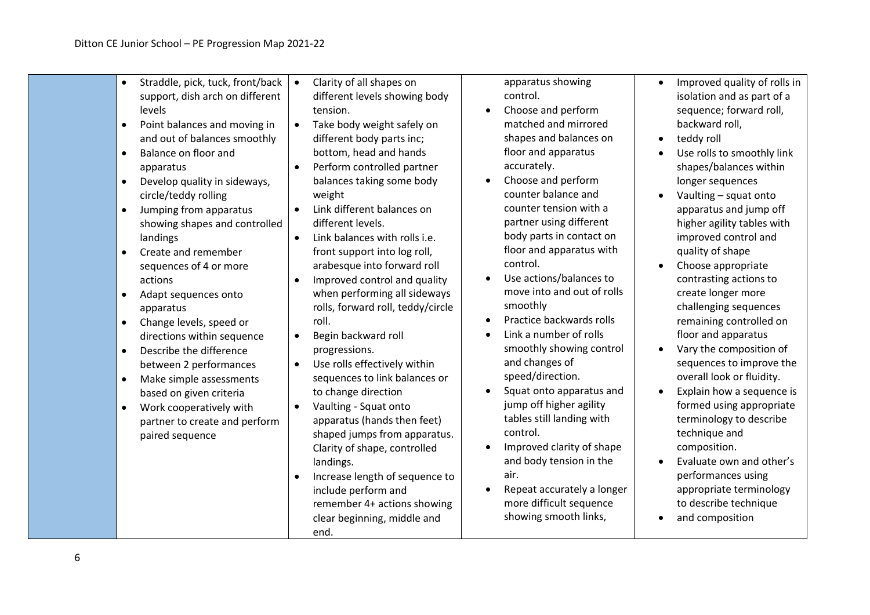| Straddle, pick, tuck, front/back<br>$\bullet$<br>support, dish arch on different<br>levels<br>Point balances and moving in<br>$\bullet$<br>and out of balances smoothly<br>Balance on floor and<br>$\bullet$<br>apparatus<br>Develop quality in sideways,<br>$\bullet$<br>circle/teddy rolling<br>Jumping from apparatus<br>$\bullet$<br>showing shapes and controlled<br>landings<br>Create and remember<br>sequences of 4 or more<br>actions<br>Adapt sequences onto<br>apparatus<br>Change levels, speed or<br>$\bullet$<br>directions within sequence<br>Describe the difference<br>$\bullet$<br>between 2 performances<br>Make simple assessments<br>$\bullet$<br>based on given criteria<br>Work cooperatively with<br>$\bullet$<br>partner to create and perform<br>paired sequence | Clarity of all shapes on<br>different levels showing body<br>tension.<br>Take body weight safely on<br>different body parts inc;<br>bottom, head and hands<br>Perform controlled partner<br>$\bullet$<br>balances taking some body<br>weight<br>Link different balances on<br>different levels.<br>Link balances with rolls i.e.<br>$\bullet$<br>front support into log roll,<br>arabesque into forward roll<br>Improved control and quality<br>$\bullet$<br>when performing all sideways<br>rolls, forward roll, teddy/circle<br>roll.<br>Begin backward roll<br>$\bullet$<br>progressions.<br>Use rolls effectively within<br>$\bullet$<br>sequences to link balances or<br>to change direction<br>Vaulting - Squat onto<br>$\bullet$<br>apparatus (hands then feet)<br>shaped jumps from apparatus.<br>Clarity of shape, controlled<br>landings.<br>Increase length of sequence to<br>include perform and<br>remember 4+ actions showing<br>clear beginning, middle and<br>end. | apparatus showing<br>control.<br>Choose and perform<br>matched and mirrored<br>shapes and balances on<br>floor and apparatus<br>accurately.<br>Choose and perform<br>counter balance and<br>counter tension with a<br>partner using different<br>body parts in contact on<br>floor and apparatus with<br>control.<br>Use actions/balances to<br>move into and out of rolls<br>smoothly<br>Practice backwards rolls<br>Link a number of rolls<br>smoothly showing control<br>and changes of<br>speed/direction.<br>Squat onto apparatus and<br>$\bullet$<br>jump off higher agility<br>tables still landing with<br>control.<br>Improved clarity of shape<br>and body tension in the<br>air.<br>Repeat accurately a longer<br>more difficult sequence<br>showing smooth links, | Improved quality of rolls in<br>$\bullet$<br>isolation and as part of a<br>sequence; forward roll,<br>backward roll,<br>teddy roll<br>$\bullet$<br>Use rolls to smoothly link<br>shapes/balances within<br>longer sequences<br>Vaulting - squat onto<br>apparatus and jump off<br>higher agility tables with<br>improved control and<br>quality of shape<br>Choose appropriate<br>$\bullet$<br>contrasting actions to<br>create longer more<br>challenging sequences<br>remaining controlled on<br>floor and apparatus<br>Vary the composition of<br>$\bullet$<br>sequences to improve the<br>overall look or fluidity.<br>Explain how a sequence is<br>$\bullet$<br>formed using appropriate<br>terminology to describe<br>technique and<br>composition.<br>Evaluate own and other's<br>performances using<br>appropriate terminology<br>to describe technique<br>and composition |
|--------------------------------------------------------------------------------------------------------------------------------------------------------------------------------------------------------------------------------------------------------------------------------------------------------------------------------------------------------------------------------------------------------------------------------------------------------------------------------------------------------------------------------------------------------------------------------------------------------------------------------------------------------------------------------------------------------------------------------------------------------------------------------------------|------------------------------------------------------------------------------------------------------------------------------------------------------------------------------------------------------------------------------------------------------------------------------------------------------------------------------------------------------------------------------------------------------------------------------------------------------------------------------------------------------------------------------------------------------------------------------------------------------------------------------------------------------------------------------------------------------------------------------------------------------------------------------------------------------------------------------------------------------------------------------------------------------------------------------------------------------------------------------------|-------------------------------------------------------------------------------------------------------------------------------------------------------------------------------------------------------------------------------------------------------------------------------------------------------------------------------------------------------------------------------------------------------------------------------------------------------------------------------------------------------------------------------------------------------------------------------------------------------------------------------------------------------------------------------------------------------------------------------------------------------------------------------|------------------------------------------------------------------------------------------------------------------------------------------------------------------------------------------------------------------------------------------------------------------------------------------------------------------------------------------------------------------------------------------------------------------------------------------------------------------------------------------------------------------------------------------------------------------------------------------------------------------------------------------------------------------------------------------------------------------------------------------------------------------------------------------------------------------------------------------------------------------------------------|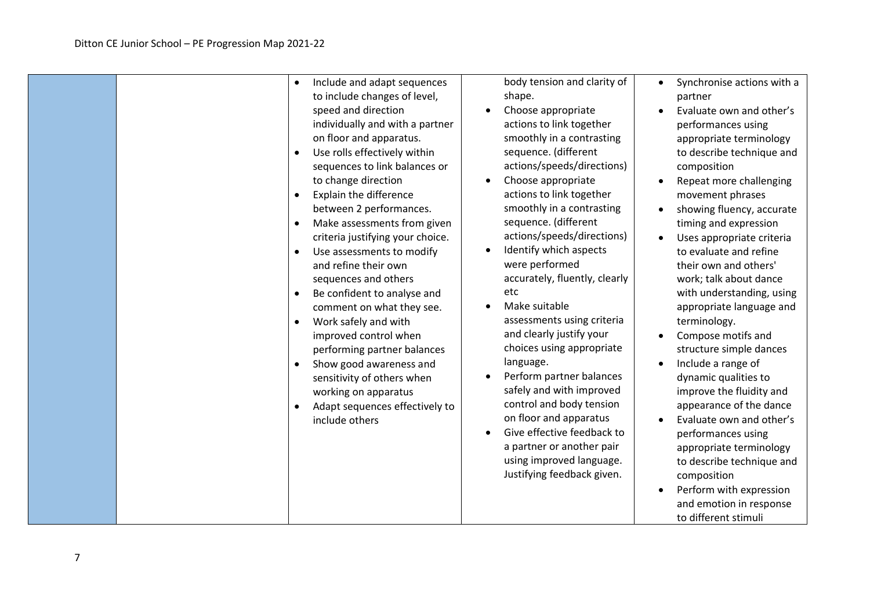|  | Include and adapt sequences<br>to include changes of level,<br>speed and direction<br>individually and with a partner<br>on floor and apparatus.<br>Use rolls effectively within<br>sequences to link balances or<br>to change direction<br>Explain the difference<br>between 2 performances.<br>Make assessments from given<br>criteria justifying your choice.<br>Use assessments to modify<br>$\bullet$<br>and refine their own<br>sequences and others<br>Be confident to analyse and<br>$\bullet$<br>comment on what they see.<br>Work safely and with<br>improved control when<br>performing partner balances<br>Show good awareness and<br>sensitivity of others when<br>working on apparatus<br>Adapt sequences effectively to<br>include others | body tension and clarity of<br>shape.<br>Choose appropriate<br>actions to link together<br>smoothly in a contrasting<br>sequence. (different<br>actions/speeds/directions)<br>Choose appropriate<br>actions to link together<br>smoothly in a contrasting<br>sequence. (different<br>actions/speeds/directions)<br>Identify which aspects<br>were performed<br>accurately, fluently, clearly<br>etc<br>Make suitable<br>assessments using criteria<br>and clearly justify your<br>choices using appropriate<br>language.<br>Perform partner balances<br>safely and with improved<br>control and body tension<br>on floor and apparatus<br>Give effective feedback to<br>a partner or another pair<br>using improved language.<br>Justifying feedback given. | Synchronise actions with a<br>$\bullet$<br>partner<br>Evaluate own and other's<br>$\bullet$<br>performances using<br>appropriate terminology<br>to describe technique and<br>composition<br>Repeat more challenging<br>$\bullet$<br>movement phrases<br>showing fluency, accurate<br>$\bullet$<br>timing and expression<br>Uses appropriate criteria<br>$\bullet$<br>to evaluate and refine<br>their own and others'<br>work; talk about dance<br>with understanding, using<br>appropriate language and<br>terminology.<br>Compose motifs and<br>$\bullet$<br>structure simple dances<br>Include a range of<br>$\bullet$<br>dynamic qualities to<br>improve the fluidity and<br>appearance of the dance<br>Evaluate own and other's<br>$\bullet$<br>performances using<br>appropriate terminology<br>to describe technique and<br>composition<br>Perform with expression<br>and emotion in response<br>to different stimuli |
|--|----------------------------------------------------------------------------------------------------------------------------------------------------------------------------------------------------------------------------------------------------------------------------------------------------------------------------------------------------------------------------------------------------------------------------------------------------------------------------------------------------------------------------------------------------------------------------------------------------------------------------------------------------------------------------------------------------------------------------------------------------------|-------------------------------------------------------------------------------------------------------------------------------------------------------------------------------------------------------------------------------------------------------------------------------------------------------------------------------------------------------------------------------------------------------------------------------------------------------------------------------------------------------------------------------------------------------------------------------------------------------------------------------------------------------------------------------------------------------------------------------------------------------------|-----------------------------------------------------------------------------------------------------------------------------------------------------------------------------------------------------------------------------------------------------------------------------------------------------------------------------------------------------------------------------------------------------------------------------------------------------------------------------------------------------------------------------------------------------------------------------------------------------------------------------------------------------------------------------------------------------------------------------------------------------------------------------------------------------------------------------------------------------------------------------------------------------------------------------|
|--|----------------------------------------------------------------------------------------------------------------------------------------------------------------------------------------------------------------------------------------------------------------------------------------------------------------------------------------------------------------------------------------------------------------------------------------------------------------------------------------------------------------------------------------------------------------------------------------------------------------------------------------------------------------------------------------------------------------------------------------------------------|-------------------------------------------------------------------------------------------------------------------------------------------------------------------------------------------------------------------------------------------------------------------------------------------------------------------------------------------------------------------------------------------------------------------------------------------------------------------------------------------------------------------------------------------------------------------------------------------------------------------------------------------------------------------------------------------------------------------------------------------------------------|-----------------------------------------------------------------------------------------------------------------------------------------------------------------------------------------------------------------------------------------------------------------------------------------------------------------------------------------------------------------------------------------------------------------------------------------------------------------------------------------------------------------------------------------------------------------------------------------------------------------------------------------------------------------------------------------------------------------------------------------------------------------------------------------------------------------------------------------------------------------------------------------------------------------------------|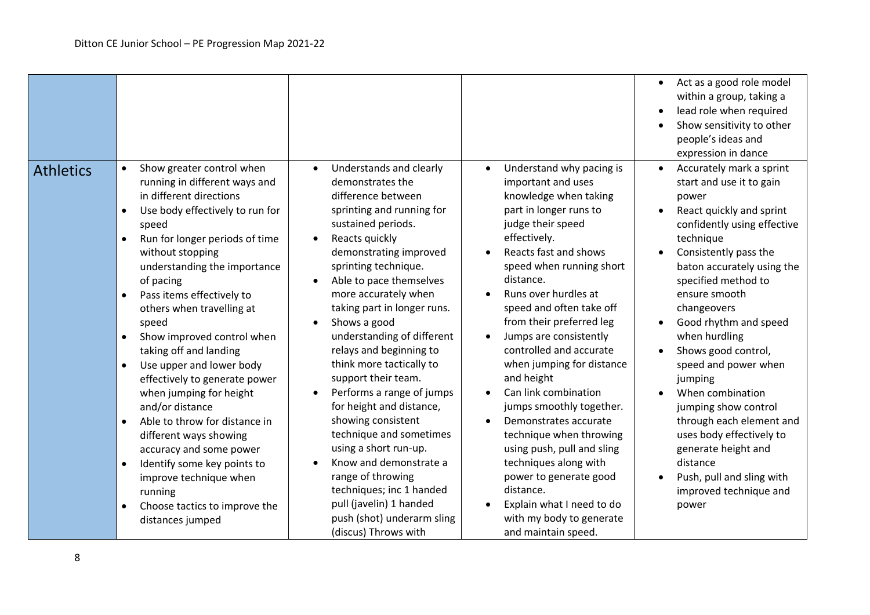|                  |                                                                                                                                                                                                                                                                                                                                                                                                                                                                                                                                                                                                                                                                                                                                                            |                                                                                                                                                                                                                                                                                                                                                                                                                                                                                                                                                                                                                                                                                                                    |                                                                                                                                                                                                                                                                                                                                                                                                                                                                                                                                                                                                                                                                                                                       | Act as a good role model<br>$\bullet$<br>within a group, taking a<br>lead role when required<br>Show sensitivity to other<br>people's ideas and<br>expression in dance                                                                                                                                                                                                                                                                                                                                                                                                      |
|------------------|------------------------------------------------------------------------------------------------------------------------------------------------------------------------------------------------------------------------------------------------------------------------------------------------------------------------------------------------------------------------------------------------------------------------------------------------------------------------------------------------------------------------------------------------------------------------------------------------------------------------------------------------------------------------------------------------------------------------------------------------------------|--------------------------------------------------------------------------------------------------------------------------------------------------------------------------------------------------------------------------------------------------------------------------------------------------------------------------------------------------------------------------------------------------------------------------------------------------------------------------------------------------------------------------------------------------------------------------------------------------------------------------------------------------------------------------------------------------------------------|-----------------------------------------------------------------------------------------------------------------------------------------------------------------------------------------------------------------------------------------------------------------------------------------------------------------------------------------------------------------------------------------------------------------------------------------------------------------------------------------------------------------------------------------------------------------------------------------------------------------------------------------------------------------------------------------------------------------------|-----------------------------------------------------------------------------------------------------------------------------------------------------------------------------------------------------------------------------------------------------------------------------------------------------------------------------------------------------------------------------------------------------------------------------------------------------------------------------------------------------------------------------------------------------------------------------|
| <b>Athletics</b> | Show greater control when<br>$\bullet$<br>running in different ways and<br>in different directions<br>Use body effectively to run for<br>speed<br>Run for longer periods of time<br>$\bullet$<br>without stopping<br>understanding the importance<br>of pacing<br>Pass items effectively to<br>$\bullet$<br>others when travelling at<br>speed<br>Show improved control when<br>$\bullet$<br>taking off and landing<br>Use upper and lower body<br>$\bullet$<br>effectively to generate power<br>when jumping for height<br>and/or distance<br>Able to throw for distance in<br>different ways showing<br>accuracy and some power<br>Identify some key points to<br>improve technique when<br>running<br>Choose tactics to improve the<br>distances jumped | Understands and clearly<br>$\bullet$<br>demonstrates the<br>difference between<br>sprinting and running for<br>sustained periods.<br>Reacts quickly<br>demonstrating improved<br>sprinting technique.<br>Able to pace themselves<br>more accurately when<br>taking part in longer runs.<br>Shows a good<br>understanding of different<br>relays and beginning to<br>think more tactically to<br>support their team.<br>Performs a range of jumps<br>for height and distance,<br>showing consistent<br>technique and sometimes<br>using a short run-up.<br>Know and demonstrate a<br>range of throwing<br>techniques; inc 1 handed<br>pull (javelin) 1 handed<br>push (shot) underarm sling<br>(discus) Throws with | Understand why pacing is<br>$\bullet$<br>important and uses<br>knowledge when taking<br>part in longer runs to<br>judge their speed<br>effectively.<br>Reacts fast and shows<br>speed when running short<br>distance.<br>Runs over hurdles at<br>$\bullet$<br>speed and often take off<br>from their preferred leg<br>Jumps are consistently<br>$\bullet$<br>controlled and accurate<br>when jumping for distance<br>and height<br>Can link combination<br>jumps smoothly together.<br>Demonstrates accurate<br>technique when throwing<br>using push, pull and sling<br>techniques along with<br>power to generate good<br>distance.<br>Explain what I need to do<br>with my body to generate<br>and maintain speed. | Accurately mark a sprint<br>$\bullet$<br>start and use it to gain<br>power<br>React quickly and sprint<br>confidently using effective<br>technique<br>Consistently pass the<br>baton accurately using the<br>specified method to<br>ensure smooth<br>changeovers<br>Good rhythm and speed<br>when hurdling<br>Shows good control,<br>speed and power when<br>jumping<br>When combination<br>jumping show control<br>through each element and<br>uses body effectively to<br>generate height and<br>distance<br>Push, pull and sling with<br>improved technique and<br>power |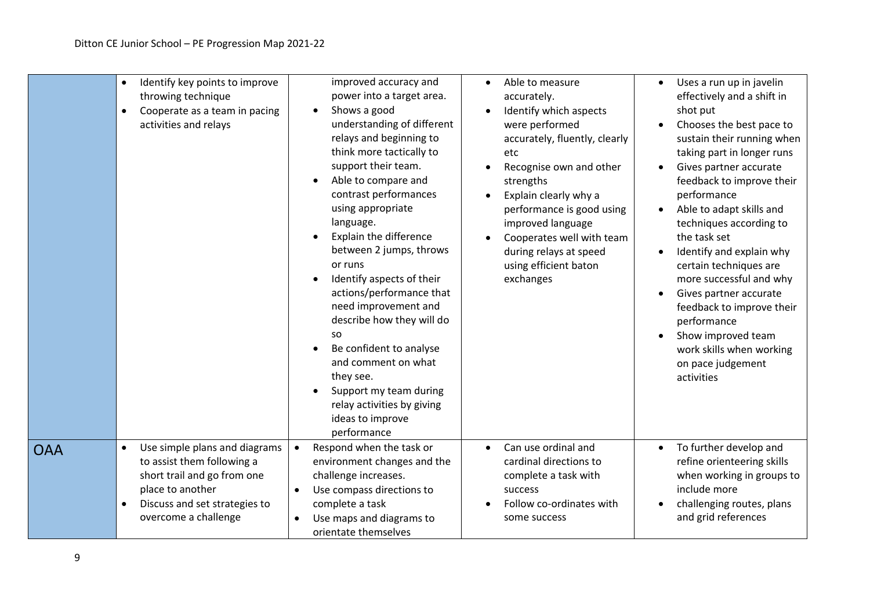|            | Identify key points to improve<br>throwing technique<br>Cooperate as a team in pacing<br>activities and relays                                                          | improved accuracy and<br>power into a target area.<br>Shows a good<br>understanding of different<br>relays and beginning to<br>think more tactically to<br>support their team.<br>Able to compare and<br>contrast performances<br>using appropriate<br>language.<br>Explain the difference<br>between 2 jumps, throws<br>or runs<br>Identify aspects of their<br>actions/performance that<br>need improvement and<br>describe how they will do<br><b>SO</b><br>Be confident to analyse<br>and comment on what<br>they see.<br>Support my team during<br>relay activities by giving<br>ideas to improve<br>performance | Able to measure<br>accurately.<br>Identify which aspects<br>were performed<br>accurately, fluently, clearly<br>etc<br>Recognise own and other<br>strengths<br>Explain clearly why a<br>performance is good using<br>improved language<br>Cooperates well with team<br>during relays at speed<br>using efficient baton<br>exchanges | Uses a run up in javelin<br>$\bullet$<br>effectively and a shift in<br>shot put<br>Chooses the best pace to<br>$\bullet$<br>sustain their running when<br>taking part in longer runs<br>Gives partner accurate<br>$\bullet$<br>feedback to improve their<br>performance<br>Able to adapt skills and<br>$\bullet$<br>techniques according to<br>the task set<br>Identify and explain why<br>$\bullet$<br>certain techniques are<br>more successful and why<br>Gives partner accurate<br>$\bullet$<br>feedback to improve their<br>performance<br>Show improved team<br>work skills when working<br>on pace judgement<br>activities |
|------------|-------------------------------------------------------------------------------------------------------------------------------------------------------------------------|-----------------------------------------------------------------------------------------------------------------------------------------------------------------------------------------------------------------------------------------------------------------------------------------------------------------------------------------------------------------------------------------------------------------------------------------------------------------------------------------------------------------------------------------------------------------------------------------------------------------------|------------------------------------------------------------------------------------------------------------------------------------------------------------------------------------------------------------------------------------------------------------------------------------------------------------------------------------|-----------------------------------------------------------------------------------------------------------------------------------------------------------------------------------------------------------------------------------------------------------------------------------------------------------------------------------------------------------------------------------------------------------------------------------------------------------------------------------------------------------------------------------------------------------------------------------------------------------------------------------|
| <b>OAA</b> | Use simple plans and diagrams<br>to assist them following a<br>short trail and go from one<br>place to another<br>Discuss and set strategies to<br>overcome a challenge | Respond when the task or<br>environment changes and the<br>challenge increases.<br>Use compass directions to<br>complete a task<br>Use maps and diagrams to<br>orientate themselves                                                                                                                                                                                                                                                                                                                                                                                                                                   | Can use ordinal and<br>$\bullet$<br>cardinal directions to<br>complete a task with<br>success<br>Follow co-ordinates with<br>some success                                                                                                                                                                                          | To further develop and<br>$\bullet$<br>refine orienteering skills<br>when working in groups to<br>include more<br>challenging routes, plans<br>$\bullet$<br>and grid references                                                                                                                                                                                                                                                                                                                                                                                                                                                   |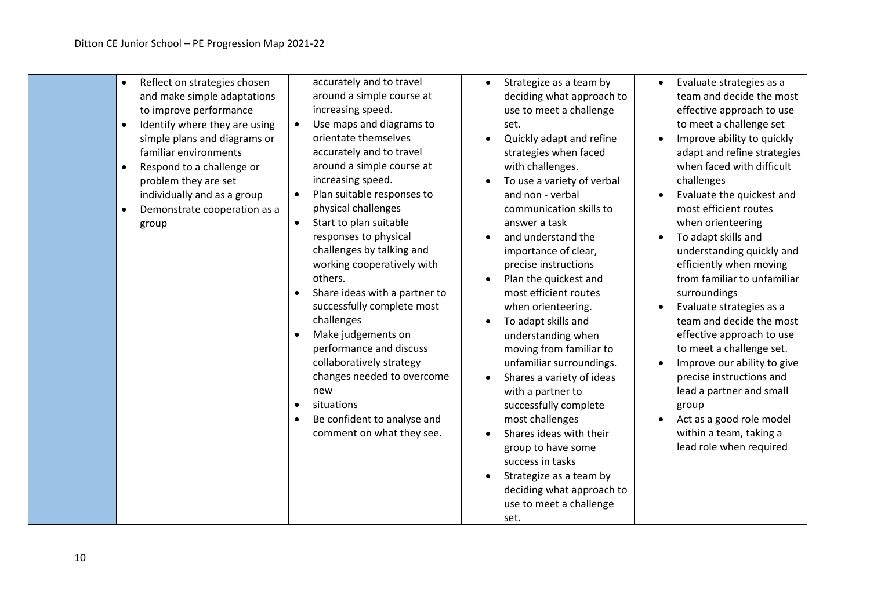| Reflect on strategies chosen<br>$\bullet$<br>and make simple adaptations<br>to improve performance<br>Identify where they are using<br>$\bullet$<br>simple plans and diagrams or<br>familiar environments<br>Respond to a challenge or<br>$\bullet$<br>problem they are set<br>individually and as a group<br>Demonstrate cooperation as a<br>$\bullet$<br>group | accurately and to travel<br>around a simple course at<br>increasing speed.<br>Use maps and diagrams to<br>orientate themselves<br>accurately and to travel<br>around a simple course at<br>increasing speed.<br>Plan suitable responses to<br>$\bullet$<br>physical challenges<br>Start to plan suitable<br>responses to physical<br>challenges by talking and<br>working cooperatively with<br>others.<br>Share ideas with a partner to<br>$\bullet$<br>successfully complete most<br>challenges<br>Make judgements on<br>$\bullet$<br>performance and discuss<br>collaboratively strategy<br>changes needed to overcome<br>new<br>situations<br>$\bullet$<br>Be confident to analyse and<br>$\bullet$<br>comment on what they see. | Strategize as a team by<br>deciding what approach to<br>use to meet a challenge<br>set.<br>Quickly adapt and refine<br>strategies when faced<br>with challenges.<br>To use a variety of verbal<br>and non - verbal<br>communication skills to<br>answer a task<br>and understand the<br>importance of clear,<br>precise instructions<br>Plan the quickest and<br>most efficient routes<br>when orienteering.<br>To adapt skills and<br>understanding when<br>moving from familiar to<br>unfamiliar surroundings.<br>Shares a variety of ideas<br>with a partner to<br>successfully complete<br>most challenges<br>Shares ideas with their<br>group to have some<br>success in tasks<br>Strategize as a team by<br>deciding what approach to<br>use to meet a challenge<br>set. | Evaluate strategies as a<br>$\bullet$<br>team and decide the most<br>effective approach to use<br>to meet a challenge set<br>Improve ability to quickly<br>adapt and refine strategies<br>when faced with difficult<br>challenges<br>Evaluate the quickest and<br>most efficient routes<br>when orienteering<br>To adapt skills and<br>$\bullet$<br>understanding quickly and<br>efficiently when moving<br>from familiar to unfamiliar<br>surroundings<br>Evaluate strategies as a<br>team and decide the most<br>effective approach to use<br>to meet a challenge set.<br>Improve our ability to give<br>precise instructions and<br>lead a partner and small<br>group<br>Act as a good role model<br>within a team, taking a<br>lead role when required |
|------------------------------------------------------------------------------------------------------------------------------------------------------------------------------------------------------------------------------------------------------------------------------------------------------------------------------------------------------------------|--------------------------------------------------------------------------------------------------------------------------------------------------------------------------------------------------------------------------------------------------------------------------------------------------------------------------------------------------------------------------------------------------------------------------------------------------------------------------------------------------------------------------------------------------------------------------------------------------------------------------------------------------------------------------------------------------------------------------------------|--------------------------------------------------------------------------------------------------------------------------------------------------------------------------------------------------------------------------------------------------------------------------------------------------------------------------------------------------------------------------------------------------------------------------------------------------------------------------------------------------------------------------------------------------------------------------------------------------------------------------------------------------------------------------------------------------------------------------------------------------------------------------------|------------------------------------------------------------------------------------------------------------------------------------------------------------------------------------------------------------------------------------------------------------------------------------------------------------------------------------------------------------------------------------------------------------------------------------------------------------------------------------------------------------------------------------------------------------------------------------------------------------------------------------------------------------------------------------------------------------------------------------------------------------|